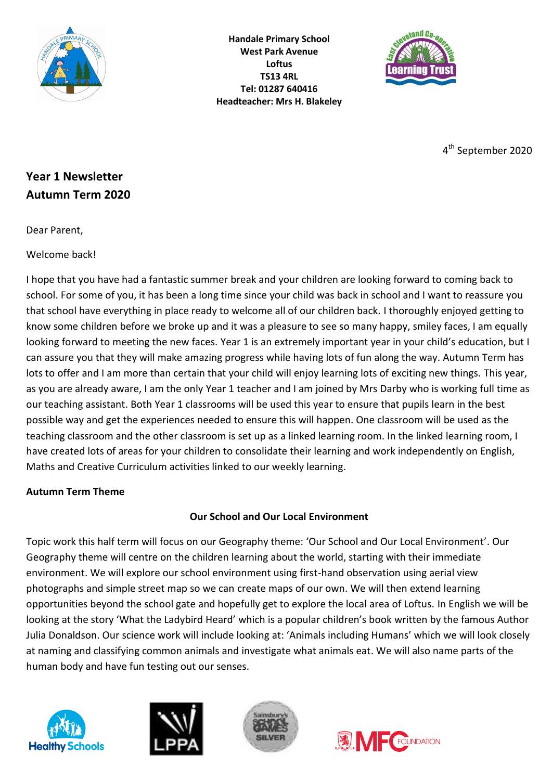

**Handale Primary School West Park Avenue Loftus TS13 4RL Tel: 01287 640416 Headteacher: Mrs H. Blakeley**



4 th September 2020

# **Year 1 Newsletter Autumn Term 2020**

Dear Parent,

Welcome back!

I hope that you have had a fantastic summer break and your children are looking forward to coming back to school. For some of you, it has been a long time since your child was back in school and I want to reassure you that school have everything in place ready to welcome all of our children back. I thoroughly enjoyed getting to know some children before we broke up and it was a pleasure to see so many happy, smiley faces, I am equally looking forward to meeting the new faces. Year 1 is an extremely important year in your child's education, but I can assure you that they will make amazing progress while having lots of fun along the way. Autumn Term has lots to offer and I am more than certain that your child will enjoy learning lots of exciting new things. This year, as you are already aware, I am the only Year 1 teacher and I am joined by Mrs Darby who is working full time as our teaching assistant. Both Year 1 classrooms will be used this year to ensure that pupils learn in the best possible way and get the experiences needed to ensure this will happen. One classroom will be used as the teaching classroom and the other classroom is set up as a linked learning room. In the linked learning room, I have created lots of areas for your children to consolidate their learning and work independently on English, Maths and Creative Curriculum activities linked to our weekly learning.

### **Autumn Term Theme**

## **Our School and Our Local Environment**

Topic work this half term will focus on our Geography theme: 'Our School and Our Local Environment'. Our Geography theme will centre on the children learning about the world, starting with their immediate environment. We will explore our school environment using first-hand observation using aerial view photographs and simple street map so we can create maps of our own. We will then extend learning opportunities beyond the school gate and hopefully get to explore the local area of Loftus. In English we will be looking at the story 'What the Ladybird Heard' which is a popular children's book written by the famous Author Julia Donaldson. Our science work will include looking at: 'Animals including Humans' which we will look closely at naming and classifying common animals and investigate what animals eat. We will also name parts of the human body and have fun testing out our senses.